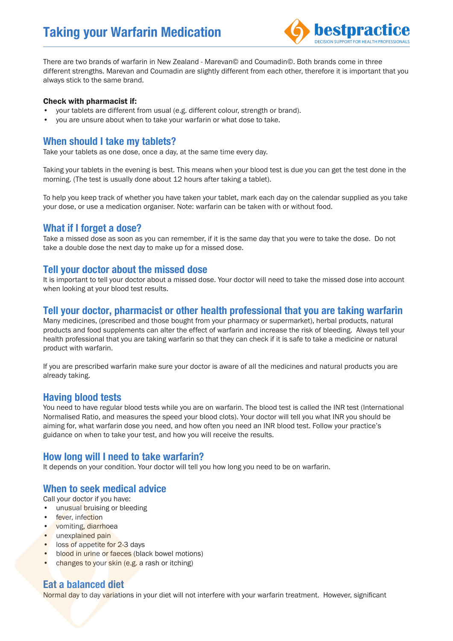

There are two brands of warfarin in New Zealand - Marevan© and Coumadin©. Both brands come in three different strengths. Marevan and Coumadin are slightly different from each other, therefore it is important that you always stick to the same brand.

#### Check with pharmacist if:

- your tablets are different from usual (e.g. different colour, strength or brand). •
- you are unsure about when to take your warfarin or what dose to take. •

# **When should I take my tablets?**

Take your tablets as one dose, once a day, at the same time every day.

Taking your tablets in the evening is best. This means when your blood test is due you can get the test done in the morning. (The test is usually done about 12 hours after taking a tablet).

To help you keep track of whether you have taken your tablet, mark each day on the calendar supplied as you take your dose, or use a medication organiser. Note: warfarin can be taken with or without food.

#### **What if I forget a dose?**

Take a missed dose as soon as you can remember, if it is the same day that you were to take the dose. Do not take a double dose the next day to make up for a missed dose.

#### **Tell your doctor about the missed dose**

It is important to tell your doctor about a missed dose. Your doctor will need to take the missed dose into account when looking at your blood test results.

#### **Tell your doctor, pharmacist or other health professional that you are taking warfarin**

Many medicines, (prescribed and those bought from your pharmacy or supermarket), herbal products, natural products and food supplements can alter the effect of warfarin and increase the risk of bleeding. Always tell your health professional that you are taking warfarin so that they can check if it is safe to take a medicine or natural product with warfarin.

If you are prescribed warfarin make sure your doctor is aware of all the medicines and natural products you are already taking.

## **Having blood tests**

You need to have regular blood tests while you are on warfarin. The blood test is called the INR test (International Normalised Ratio, and measures the speed your blood clots). Your doctor will tell you what INR you should be aiming for, what warfarin dose you need, and how often you need an INR blood test. Follow your practice's guidance on when to take your test, and how you will receive the results.

## **How long will I need to take warfarin?**

It depends on your condition. Your doctor will tell you how long you need to be on warfarin.

## **When to seek medical advice**

Call your doctor if you have:

- unusual bruising or bleeding
- fever, infection •
- vomiting, diarrhoea
- unexplained pain
- loss of appetite for 2-3 days
- blood in urine or faeces (black bowel motions)
- changes to your skin (e.g. a rash or itching) •

## **Eat a balanced diet**

Normal day to day variations in your diet will not interfere with your warfarin treatment. However, significant